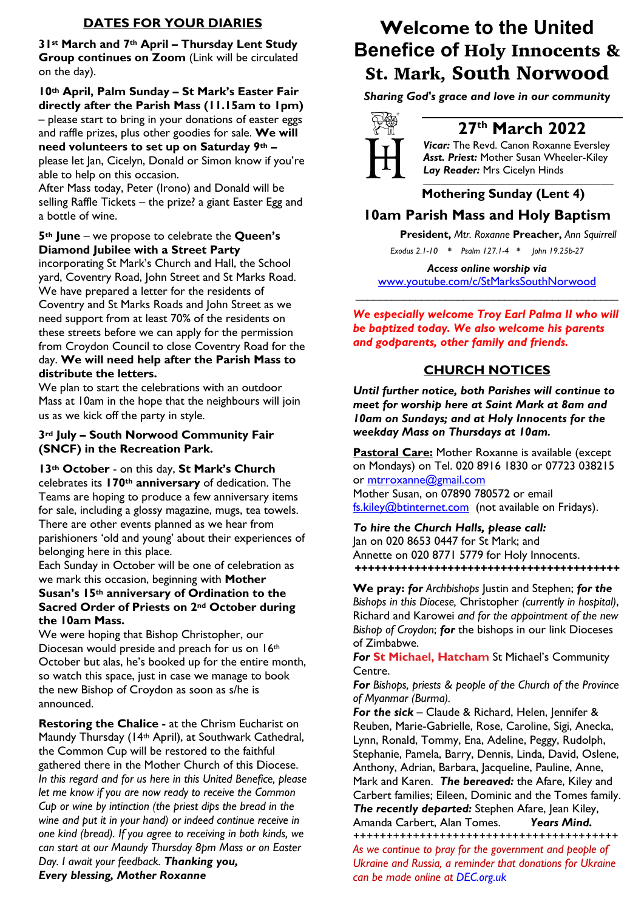## **DATES FOR YOUR DIARIES**

**31st March and 7th April – Thursday Lent Study Group continues on Zoom** (Link will be circulated on the day).

**10th April, Palm Sunday – St Mark's Easter Fair directly after the Parish Mass (11.15am to 1pm)**  – please start to bring in your donations of easter eggs and raffle prizes, plus other goodies for sale. **We will need volunteers to set up on Saturday 9th –** please let Jan, Cicelyn, Donald or Simon know if you're able to help on this occasion.

After Mass today, Peter (Irono) and Donald will be selling Raffle Tickets – the prize? a giant Easter Egg and a bottle of wine.

## **5th June** – we propose to celebrate the **Queen's Diamond Jubilee with a Street Party**

incorporating St Mark's Church and Hall, the School yard, Coventry Road, John Street and St Marks Road. We have prepared a letter for the residents of Coventry and St Marks Roads and John Street as we need support from at least 70% of the residents on these streets before we can apply for the permission from Croydon Council to close Coventry Road for the day. **We will need help after the Parish Mass to distribute the letters.**

We plan to start the celebrations with an outdoor Mass at 10am in the hope that the neighbours will join us as we kick off the party in style.

## **3rd July – South Norwood Community Fair (SNCF) in the Recreation Park.**

**13th October** - on this day, **St Mark's Church**

celebrates its **170th anniversary** of dedication. The Teams are hoping to produce a few anniversary items for sale, including a glossy magazine, mugs, tea towels. There are other events planned as we hear from parishioners 'old and young' about their experiences of belonging here in this place.

Each Sunday in October will be one of celebration as we mark this occasion, beginning with **Mother Susan's 15th anniversary of Ordination to the** 

## **Sacred Order of Priests on 2nd October during the 10am Mass.**

We were hoping that Bishop Christopher, our Diocesan would preside and preach for us on 16th October but alas, he's booked up for the entire month, so watch this space, just in case we manage to book the new Bishop of Croydon as soon as s/he is announced.

**Restoring the Chalice -** at the Chrism Eucharist on Maundy Thursday (14th April), at Southwark Cathedral, the Common Cup will be restored to the faithful gathered there in the Mother Church of this Diocese. *In this regard and for us here in this United Benefice, please let me know if you are now ready to receive the Common Cup or wine by intinction (the priest dips the bread in the wine and put it in your hand) or indeed continue receive in one kind (bread). If you agree to receiving in both kinds, we can start at our Maundy Thursday 8pm Mass or on Easter Day. I await your feedback. Thanking you, Every blessing, Mother Roxanne*

# **Welcome to the United Benefice of** Holy Innocents & St. Mark, South Norwood

*Sharing God's grace and love in our community*



## **27th March 2022**

*Vicar:* The Revd. Canon Roxanne Eversley *Asst. Priest:* Mother Susan Wheeler-Kiley *Lay Reader:* Mrs Cicelyn Hinds *\_\_\_\_\_\_\_\_\_\_\_\_\_\_\_\_\_\_\_\_\_\_\_\_\_\_\_\_\_\_\_\_\_\_\_\_\_\_\_\_\_\_\_\_*

## **Mothering Sunday (Lent 4)**

## **10am Parish Mass and Holy Baptism**

 **President,** *Mtr. Roxanne* **Preacher,** *Ann Squirrell*

*Exodus 2.1-10 \* Psalm 127.1-4 \* John 19.25b-27*

*Access online worship via* www.youtube.com/c/StMarksSouthNorwood \_\_\_\_\_\_\_\_\_\_\_\_\_\_\_\_\_\_\_\_\_\_\_\_\_\_\_\_\_\_\_\_\_\_\_\_\_\_\_\_\_\_\_\_

*We especially welcome Troy Earl Palma II who will be baptized today. We also welcome his parents and godparents, other family and friends.*

## **CHURCH NOTICES**

*Until further notice, both Parishes will continue to meet for worship here at Saint Mark at 8am and 10am on Sundays; and at Holy Innocents for the weekday Mass on Thursdays at 10am.* 

**Pastoral Care:** Mother Roxanne is available (except on Mondays) on Tel. 020 8916 1830 or 07723 038215 or mtrroxanne@gmail.com Mother Susan, on 07890 780572 or email fs.kiley@btinternet.com (not available on Fridays).

*To hire the Church Halls, please call:* Jan on 020 8653 0447 for St Mark; and Annette on 020 8771 5779 for Holy Innocents. *++++++++++++++++++++++++++++++++++++++++*

**We pray:** *for Archbishops* Justin and Stephen; *for the Bishops in this Diocese,* Christopher *(currently in hospital)*, Richard and Karowei *and for the appointment of the new Bishop of Croydon*; *for* the bishops in our link Dioceses of Zimbabwe.

*For* **St Michael, Hatcham** St Michael's Community Centre.

*For Bishops, priests & people of the Church of the Province of Myanmar (Burma).*

*For the sick* – Claude & Richard, Helen, Jennifer & Reuben, Marie-Gabrielle, Rose, Caroline, Sigi, Anecka, Lynn, Ronald, Tommy, Ena, Adeline, Peggy, Rudolph, Stephanie, Pamela, Barry, Dennis, Linda, David, Oslene, Anthony, Adrian, Barbara, Jacqueline, Pauline, Anne, Mark and Karen. *The bereaved:* the Afare, Kiley and Carbert families; Eileen, Dominic and the Tomes family. *The recently departed:* Stephen Afare, Jean Kiley,

Amanda Carbert, Alan Tomes. *Years Mind. ++++++++++++++++++++++++++++++++++++++++*

*As we continue to pray for the government and people of Ukraine and Russia, a reminder that donations for Ukraine can be made online at DEC.org.uk*